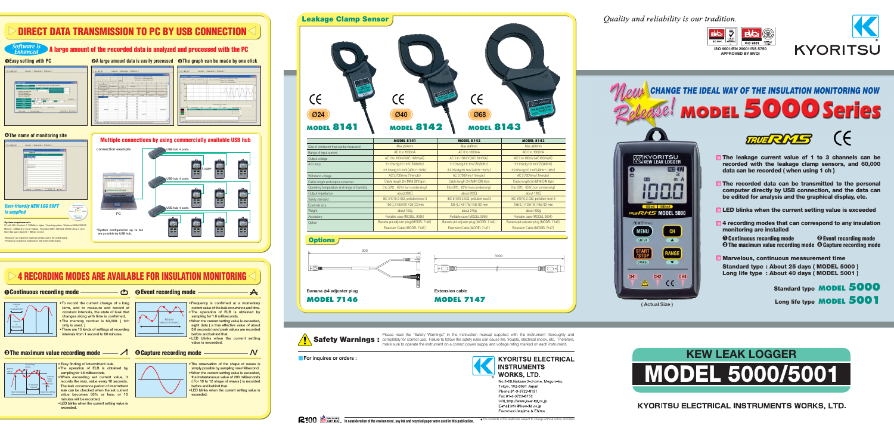|                                             | <b>MODEL 8141</b>                                | <b>MODEL 8142</b>                            | <b>MODEL 8143</b>                            |
|---------------------------------------------|--------------------------------------------------|----------------------------------------------|----------------------------------------------|
| Size of conductor that can be measured      | Max $\phi$ 24mm                                  | Max $\phi$ 40mm                              | Max $\phi$ 68mm                              |
| Range of input current                      | AC 0 to 1000mA                                   | AC 0 to 1000mA                               | AC 0 to 1000mA                               |
| Output voltage                              | AC 0 to 100mV (AC 100mV/A)                       | AC 0 to 100mV (AC100mV/A)                    | AC 0 to 100mV (AC100mV/A)                    |
| Accuracy                                    | $±1.0\%$ rdg $±0.1$ mV (50/60Hz)                 | $±1.0\%$ rdg $±0.1$ mV (50/60Hz)             | $±1.0\%$ rdg $±0.1$ mV (50/60Hz)             |
|                                             | $\pm$ 2.0%rdg $\pm$ 0.1mV (40Hz $\sim$ 1kHz)     | $\pm$ 2.0%rdg $\pm$ 0.1mV (40Hz $\sim$ 1kHz) | $\pm$ 2.0%rdg $\pm$ 0.1mV (40Hz $\sim$ 1kHz) |
| Withstand voltage                           | AC 3,700Vrms (1minute)<br>AC 3,700Vrms (1minute) |                                              | AC 3,700Vrms (1minute)                       |
| Cable length and output connecter           | Cable length 2m:MINI DIN 6pin                    | Cable length 2m: MINI DIN 6pin               | Cable length 2m MINI DIN 6pin                |
| Operating temperature and range of humidity | 0 to 50°C, 85% (non condensing)                  | 0 to 50°C, 85% (non condensing)              | 0 to 50°C, 85% (non condensing)              |
| Output impedance                            | about $200\Omega$                                |                                              | about $120\Omega$                            |
| Safety standard                             | IEC 61010-2-032, pollution level 3               | IEC 61010-2-032, pollution level 3           | IEC 61010-2-032, pollution level 3           |
| Externals size                              | $100(L) \times 60(W) \times 26(D)$ mm            | $128(L) \times 81(W) \times 36(D)$ mm        | 186 (L) × 129 (W) × 53 (D) mm                |
| about 150g<br>Weight                        |                                                  | about 240g                                   | about 490q                                   |
| Portable case (MODEL 9095)<br>Accessory     |                                                  | Portable case (MODEL 9095)                   | Portable case (MODEL 9094)                   |
| Option                                      | Banana $\phi$ 4 adjuster plug (MODEL 7146)       | Banana ø4 adjuster plug (MODEL 7146)         | Banana ¢4 adjuster plug (MODEL 7146)         |
|                                             | Extension Cable (MODEL 7147)                     | Extension Cable (MODEL 7147)                 | Extension Cable (MODEL 7147)                 |

| CE<br><b>Ø68</b><br><b>MODEL 8143</b> | KYORITSU<br>LEAKAGE CLAMP SENSOR<br><b>MODEL 8143</b><br>CE III |
|---------------------------------------|-----------------------------------------------------------------|
| <b>EL 8142</b>                        | <b>MODEL 8143</b>                                               |
| $\sqrt{40}$ mm                        | Max $\phi$ 68mm                                                 |
| 1.4000 <sub>h</sub>                   | 100110001                                                       |

Quality and reliability is our tradition.





KYORITSU ELECTRICAL INSTRUMENTS WORKS, LTD.





**•Easy finding of intermittent leak. •The operation of ELB is obtained by** 

**sampling for 1.6 milliseconds. •When exceeding set current value, it records the max. value every 10 seconds. The leak occurrence period of intermittent leak can be checked when the set current value becomes 50% or less, or 10 minutes will be recorded.**

 **•LED blinks when the current setting value is exceeded.**



**•The observation of the shape of waves is simply possible by sampling one millisecond. •When the current setting value is exceeded, the instantaneous value of 200 milliseconds ( For 10 to 12 shape of waves ) is recorded before and behind that. •LED blinks when the current setting value is exceeded.**







Please read the "Safety Warnings" in the instruction manual supplied with the instrument thoroughly and<br>Safety Warnings : completely for correct use. Failure to follow the safety rules can cause fire, trouble, electrical s

**For inquires or orders:** 







No.5-20, Nakane 2-chome, Meguro-ku, Tokvo, 152-0031 Japan Phone:81-3-3723-0131 Fax:81-3-3723-0152 URL:http://www.kew-ltd.co.jp E-mail:info@kew-ltd.co.jp Factories: Uwajima & Fhime

### **Leakage Clamp Sensor**

# **Options**